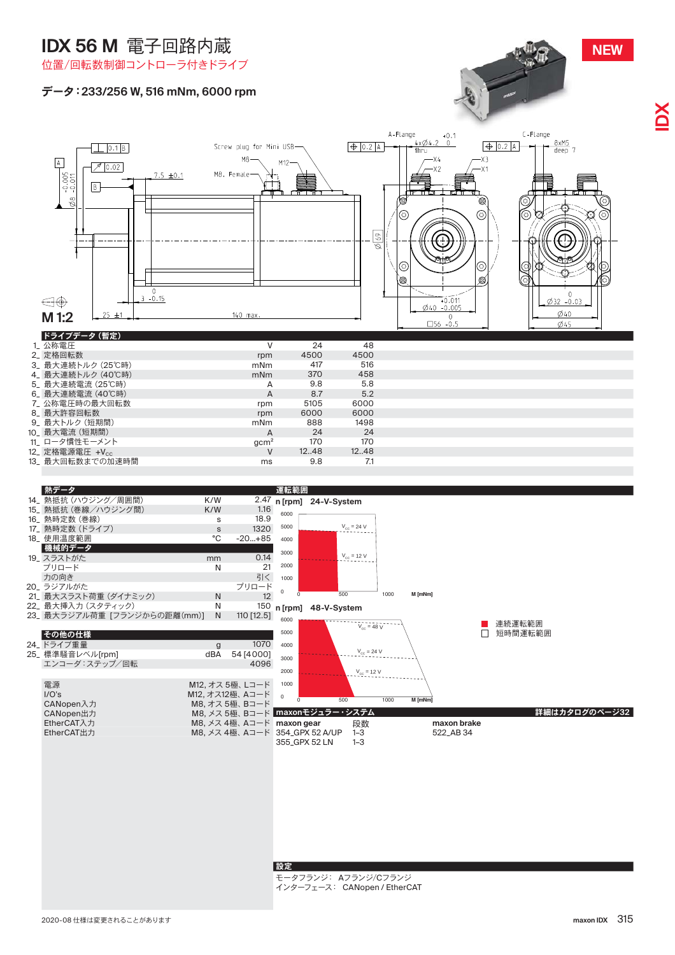# **IDX 56 M** 雷子回路内蔵



### 位置/回転数制御コントローラ付きドライブ

### データ: 233/256 W, 516 mNm, 6000 rpm





 $\vee$ 

 $12.48$ 

 $12..48$ 

#### 設定

モータフランジ: Aフランジ/Cフランジ インターフェース: CANopen / EtherCAT

12\_ 定格電源電圧 +Vcc

**NEW**